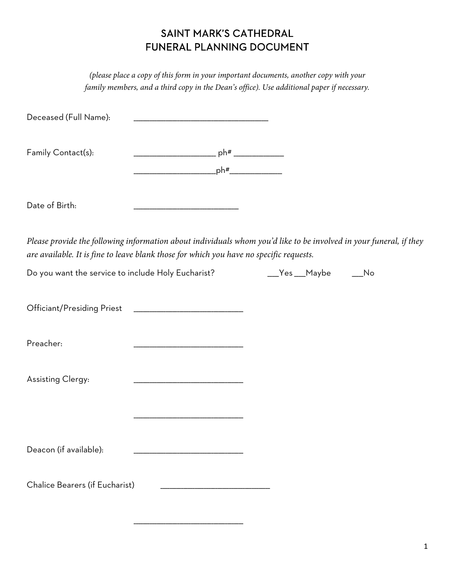## SAINT MARK'S CATHEDRAL FUNERAL PLANNING DOCUMENT

*(please place a copy of this form in your important documents, another copy with your family members, and a third copy in the Dean's office). Use additional paper if necessary.* 

| Deceased (Full Name):                                                                                                                                                                                         |  |  |
|---------------------------------------------------------------------------------------------------------------------------------------------------------------------------------------------------------------|--|--|
| Family Contact(s):                                                                                                                                                                                            |  |  |
| Date of Birth:                                                                                                                                                                                                |  |  |
| Please provide the following information about individuals whom you'd like to be involved in your funeral, if they<br>are available. It is fine to leave blank those for which you have no specific requests. |  |  |
| Do you want the service to include Holy Eucharist? The Messagn Maybe The Mo                                                                                                                                   |  |  |
|                                                                                                                                                                                                               |  |  |
| Preacher:                                                                                                                                                                                                     |  |  |
| <b>Assisting Clergy:</b>                                                                                                                                                                                      |  |  |
|                                                                                                                                                                                                               |  |  |
| Deacon (if available):                                                                                                                                                                                        |  |  |
| Chalice Bearers (if Eucharist)                                                                                                                                                                                |  |  |

\_\_\_\_\_\_\_\_\_\_\_\_\_\_\_\_\_\_\_\_\_\_\_\_\_\_\_\_\_\_\_\_\_\_\_\_\_\_\_\_\_\_\_\_\_\_\_\_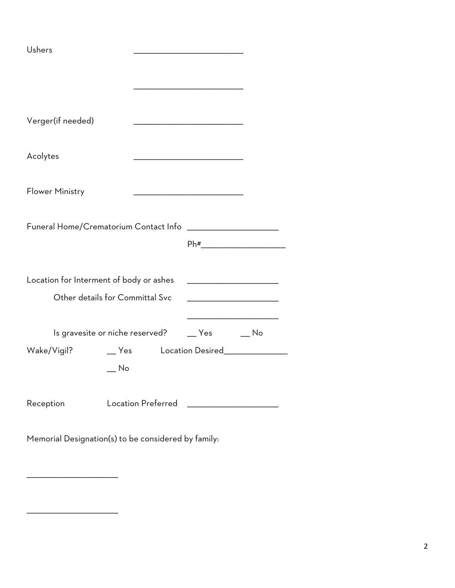| Ushers                                                                                                                                                         |                                 |                                                          |                             |  |  |
|----------------------------------------------------------------------------------------------------------------------------------------------------------------|---------------------------------|----------------------------------------------------------|-----------------------------|--|--|
|                                                                                                                                                                |                                 |                                                          |                             |  |  |
|                                                                                                                                                                |                                 |                                                          |                             |  |  |
|                                                                                                                                                                |                                 |                                                          |                             |  |  |
| Verger(if needed)                                                                                                                                              |                                 | <u> 1980 - Johann John Stone, mars eta biztanleria (</u> |                             |  |  |
|                                                                                                                                                                |                                 |                                                          |                             |  |  |
| Acolytes                                                                                                                                                       |                                 |                                                          |                             |  |  |
|                                                                                                                                                                |                                 |                                                          |                             |  |  |
| <b>Flower Ministry</b>                                                                                                                                         |                                 |                                                          |                             |  |  |
|                                                                                                                                                                |                                 |                                                          |                             |  |  |
| Funeral Home/Crematorium Contact Info<br><u> 1989 - Jan James James Barnett, martin de la partide de la partide de la partide de la partide de la partide </u> |                                 |                                                          |                             |  |  |
|                                                                                                                                                                |                                 | $Ph#$ 2008/08/2012 2012 2013 2014                        |                             |  |  |
|                                                                                                                                                                |                                 |                                                          |                             |  |  |
| Location for Interment of body or ashes                                                                                                                        |                                 |                                                          |                             |  |  |
| Other details for Committal Svc                                                                                                                                |                                 |                                                          |                             |  |  |
|                                                                                                                                                                |                                 |                                                          |                             |  |  |
|                                                                                                                                                                | Is gravesite or niche reserved? | Yes                                                      | $\overline{\phantom{0}}$ No |  |  |
| Wake/Vigil?                                                                                                                                                    | Yes                             | Location Desired_____________                            |                             |  |  |
|                                                                                                                                                                | No                              |                                                          |                             |  |  |
|                                                                                                                                                                |                                 |                                                          |                             |  |  |
| Reception                                                                                                                                                      | Location Preferred              |                                                          |                             |  |  |
|                                                                                                                                                                |                                 |                                                          |                             |  |  |
| Memorial Designation(s) to be considered by family:                                                                                                            |                                 |                                                          |                             |  |  |

\_\_\_\_\_\_\_\_\_\_\_\_\_\_\_\_\_\_\_\_\_\_\_\_\_\_\_\_\_\_\_\_\_\_\_\_\_\_\_\_

\_\_\_\_\_\_\_\_\_\_\_\_\_\_\_\_\_\_\_\_\_\_\_\_\_\_\_\_\_\_\_\_\_\_\_\_\_\_\_\_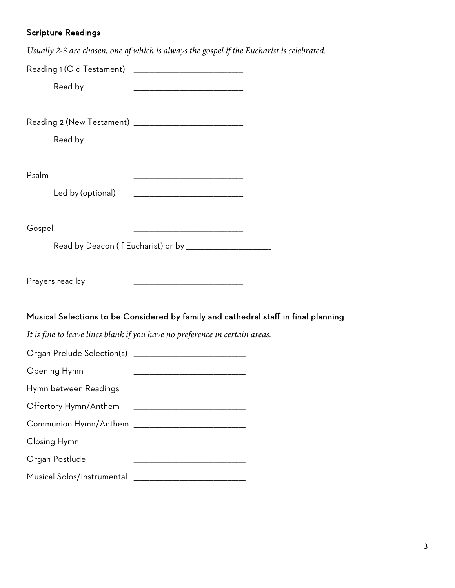## Scripture Readings

*Usually 2-3 are chosen, one of which is always the gospel if the Eucharist is celebrated.*

| Read by                    |                                                                                     |  |
|----------------------------|-------------------------------------------------------------------------------------|--|
| Read by                    |                                                                                     |  |
| Psalm<br>Led by (optional) |                                                                                     |  |
| Gospel                     |                                                                                     |  |
|                            | Read by Deacon (if Eucharist) or by _______________________                         |  |
| Prayers read by            |                                                                                     |  |
|                            | Musical Selections to be Considered by family and cathedral staff in final planning |  |
|                            | It is fine to leave lines blank if you have no preference in certain areas.         |  |
|                            |                                                                                     |  |
| Opening Hymn               |                                                                                     |  |
| Hymn between Readings      |                                                                                     |  |
| Offertory Hymn/Anthem      |                                                                                     |  |
|                            |                                                                                     |  |
| Closing Hymn               |                                                                                     |  |
| Organ Postlude             |                                                                                     |  |
|                            |                                                                                     |  |